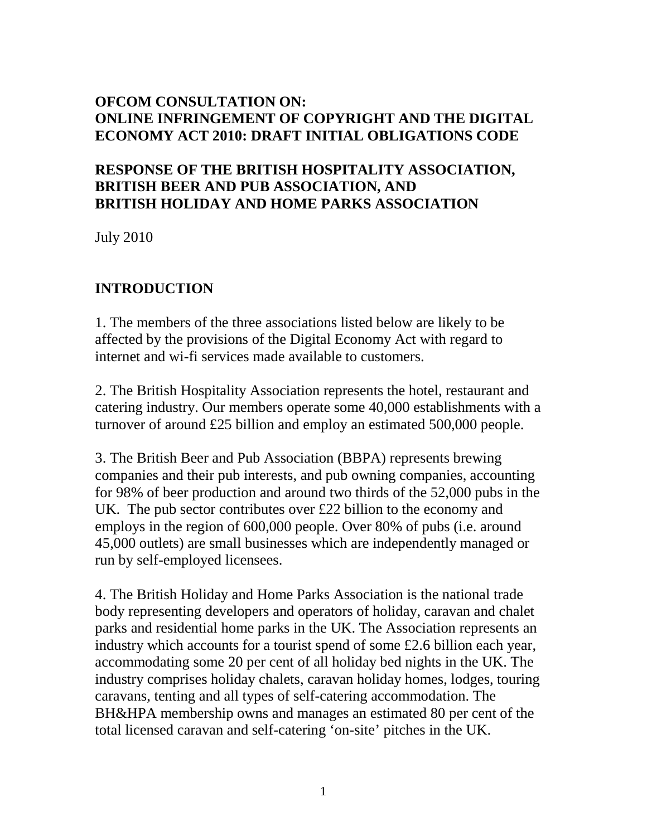#### **OFCOM CONSULTATION ON: ONLINE INFRINGEMENT OF COPYRIGHT AND THE DIGITAL ECONOMY ACT 2010: DRAFT INITIAL OBLIGATIONS CODE**

#### **RESPONSE OF THE BRITISH HOSPITALITY ASSOCIATION, BRITISH BEER AND PUB ASSOCIATION, AND BRITISH HOLIDAY AND HOME PARKS ASSOCIATION**

July 2010

### **INTRODUCTION**

1. The members of the three associations listed below are likely to be affected by the provisions of the Digital Economy Act with regard to internet and wi-fi services made available to customers.

2. The British Hospitality Association represents the hotel, restaurant and catering industry. Our members operate some 40,000 establishments with a turnover of around £25 billion and employ an estimated 500,000 people.

3. The British Beer and Pub Association (BBPA) represents brewing companies and their pub interests, and pub owning companies, accounting for 98% of beer production and around two thirds of the 52,000 pubs in the UK. The pub sector contributes over £22 billion to the economy and employs in the region of 600,000 people. Over 80% of pubs (i.e. around 45,000 outlets) are small businesses which are independently managed or run by self-employed licensees.

4. The British Holiday and Home Parks Association is the national trade body representing developers and operators of holiday, caravan and chalet parks and residential home parks in the UK. The Association represents an industry which accounts for a tourist spend of some £2.6 billion each year, accommodating some 20 per cent of all holiday bed nights in the UK. The industry comprises holiday chalets, caravan holiday homes, lodges, touring caravans, tenting and all types of self-catering accommodation. The BH&HPA membership owns and manages an estimated 80 per cent of the total licensed caravan and self-catering 'on-site' pitches in the UK.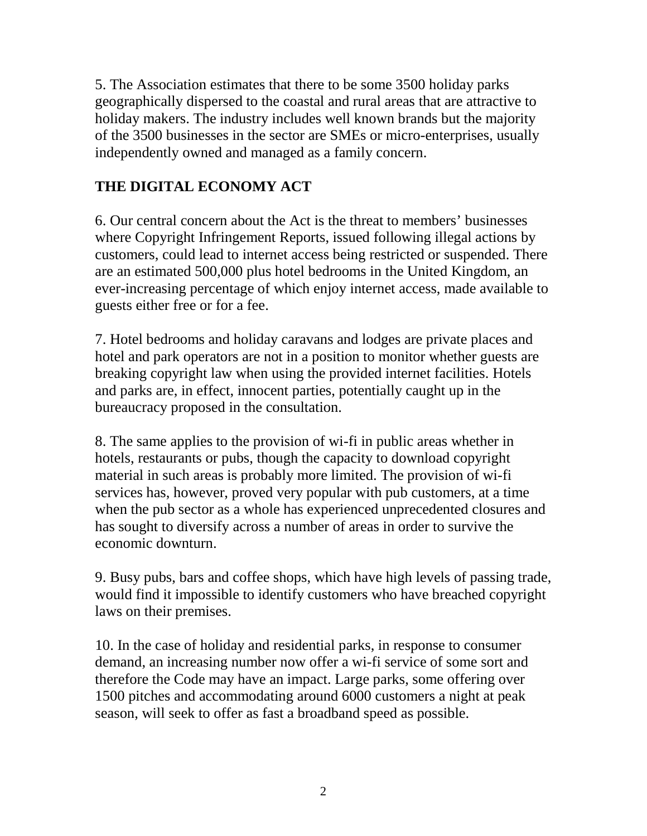5. The Association estimates that there to be some 3500 holiday parks geographically dispersed to the coastal and rural areas that are attractive to holiday makers. The industry includes well known brands but the majority of the 3500 businesses in the sector are SMEs or micro-enterprises, usually independently owned and managed as a family concern.

#### **THE DIGITAL ECONOMY ACT**

6. Our central concern about the Act is the threat to members' businesses where Copyright Infringement Reports, issued following illegal actions by customers, could lead to internet access being restricted or suspended. There are an estimated 500,000 plus hotel bedrooms in the United Kingdom, an ever-increasing percentage of which enjoy internet access, made available to guests either free or for a fee.

7. Hotel bedrooms and holiday caravans and lodges are private places and hotel and park operators are not in a position to monitor whether guests are breaking copyright law when using the provided internet facilities. Hotels and parks are, in effect, innocent parties, potentially caught up in the bureaucracy proposed in the consultation.

8. The same applies to the provision of wi-fi in public areas whether in hotels, restaurants or pubs, though the capacity to download copyright material in such areas is probably more limited. The provision of wi-fi services has, however, proved very popular with pub customers, at a time when the pub sector as a whole has experienced unprecedented closures and has sought to diversify across a number of areas in order to survive the economic downturn.

9. Busy pubs, bars and coffee shops, which have high levels of passing trade, would find it impossible to identify customers who have breached copyright laws on their premises.

10. In the case of holiday and residential parks, in response to consumer demand, an increasing number now offer a wi-fi service of some sort and therefore the Code may have an impact. Large parks, some offering over 1500 pitches and accommodating around 6000 customers a night at peak season, will seek to offer as fast a broadband speed as possible.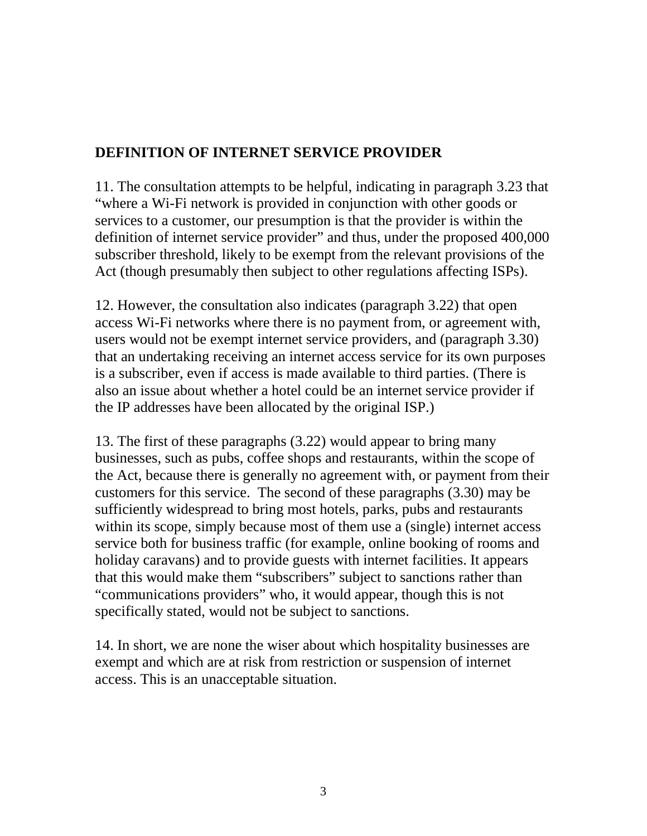### **DEFINITION OF INTERNET SERVICE PROVIDER**

11. The consultation attempts to be helpful, indicating in paragraph 3.23 that "where a Wi-Fi network is provided in conjunction with other goods or services to a customer, our presumption is that the provider is within the definition of internet service provider" and thus, under the proposed 400,000 subscriber threshold, likely to be exempt from the relevant provisions of the Act (though presumably then subject to other regulations affecting ISPs).

12. However, the consultation also indicates (paragraph 3.22) that open access Wi-Fi networks where there is no payment from, or agreement with, users would not be exempt internet service providers, and (paragraph 3.30) that an undertaking receiving an internet access service for its own purposes is a subscriber, even if access is made available to third parties. (There is also an issue about whether a hotel could be an internet service provider if the IP addresses have been allocated by the original ISP.)

13. The first of these paragraphs (3.22) would appear to bring many businesses, such as pubs, coffee shops and restaurants, within the scope of the Act, because there is generally no agreement with, or payment from their customers for this service. The second of these paragraphs (3.30) may be sufficiently widespread to bring most hotels, parks, pubs and restaurants within its scope, simply because most of them use a (single) internet access service both for business traffic (for example, online booking of rooms and holiday caravans) and to provide guests with internet facilities. It appears that this would make them "subscribers" subject to sanctions rather than "communications providers" who, it would appear, though this is not specifically stated, would not be subject to sanctions.

14. In short, we are none the wiser about which hospitality businesses are exempt and which are at risk from restriction or suspension of internet access. This is an unacceptable situation.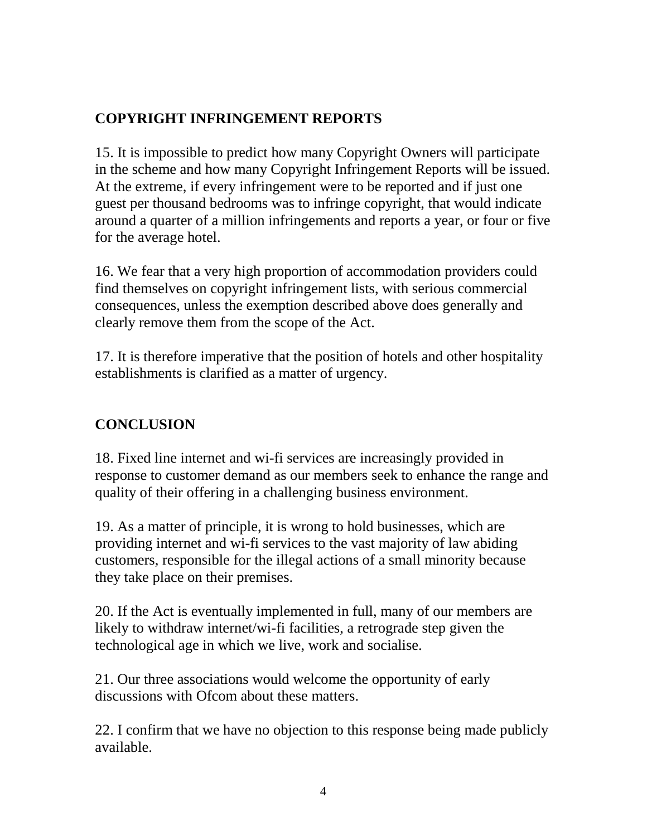# **COPYRIGHT INFRINGEMENT REPORTS**

15. It is impossible to predict how many Copyright Owners will participate in the scheme and how many Copyright Infringement Reports will be issued. At the extreme, if every infringement were to be reported and if just one guest per thousand bedrooms was to infringe copyright, that would indicate around a quarter of a million infringements and reports a year, or four or five for the average hotel.

16. We fear that a very high proportion of accommodation providers could find themselves on copyright infringement lists, with serious commercial consequences, unless the exemption described above does generally and clearly remove them from the scope of the Act.

17. It is therefore imperative that the position of hotels and other hospitality establishments is clarified as a matter of urgency.

# **CONCLUSION**

18. Fixed line internet and wi-fi services are increasingly provided in response to customer demand as our members seek to enhance the range and quality of their offering in a challenging business environment.

19. As a matter of principle, it is wrong to hold businesses, which are providing internet and wi-fi services to the vast majority of law abiding customers, responsible for the illegal actions of a small minority because they take place on their premises.

20. If the Act is eventually implemented in full, many of our members are likely to withdraw internet/wi-fi facilities, a retrograde step given the technological age in which we live, work and socialise.

21. Our three associations would welcome the opportunity of early discussions with Ofcom about these matters.

22. I confirm that we have no objection to this response being made publicly available.